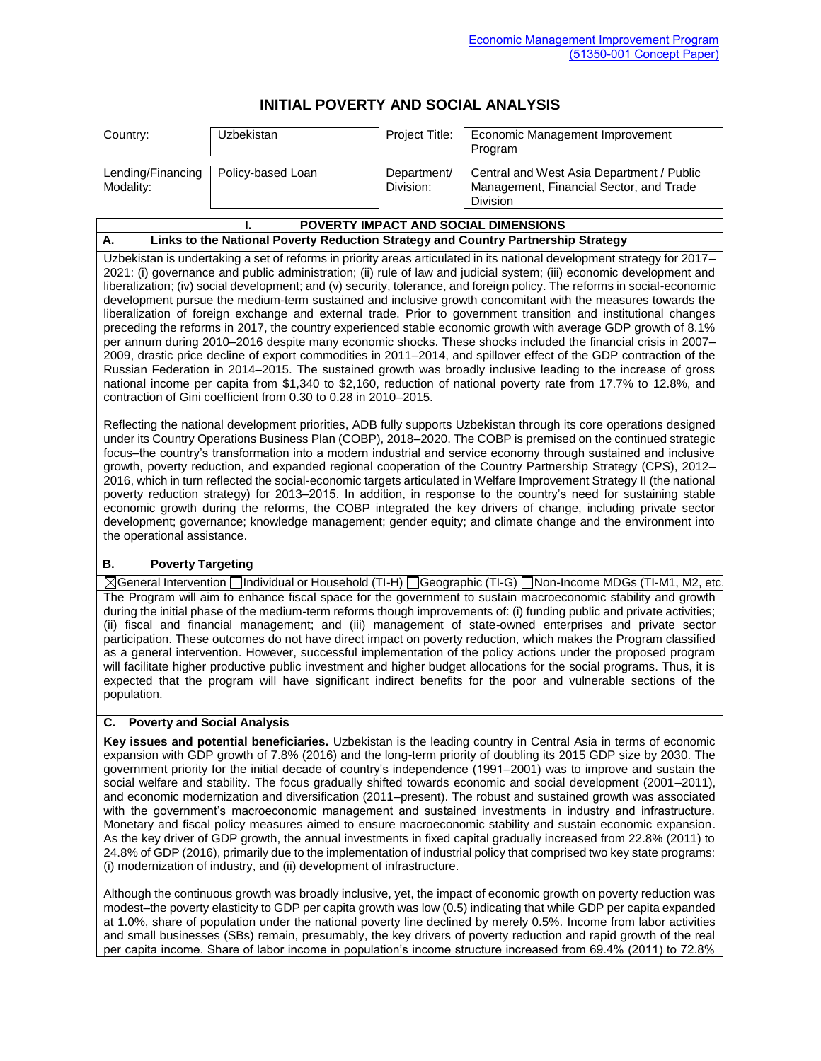# **INITIAL POVERTY AND SOCIAL ANALYSIS**

| Country:                                           | <b>Uzbekistan</b> | Project Title:           | Economic Management Improvement<br>Program                                                       |
|----------------------------------------------------|-------------------|--------------------------|--------------------------------------------------------------------------------------------------|
| Lending/Financing   Policy-based Loan<br>Modality: |                   | Department/<br>Division: | Central and West Asia Department / Public<br>Management, Financial Sector, and Trade<br>Division |

#### **I. POVERTY IMPACT AND SOCIAL DIMENSIONS A. Links to the National Poverty Reduction Strategy and Country Partnership Strategy**

Uzbekistan is undertaking a set of reforms in priority areas articulated in its national development strategy for 2017– 2021: (i) governance and public administration; (ii) rule of law and judicial system; (iii) economic development and liberalization; (iv) social development; and (v) security, tolerance, and foreign policy. The reforms in social-economic development pursue the medium-term sustained and inclusive growth concomitant with the measures towards the liberalization of foreign exchange and external trade. Prior to government transition and institutional changes preceding the reforms in 2017, the country experienced stable economic growth with average GDP growth of 8.1% per annum during 2010–2016 despite many economic shocks. These shocks included the financial crisis in 2007– 2009, drastic price decline of export commodities in 2011–2014, and spillover effect of the GDP contraction of the Russian Federation in 2014–2015. The sustained growth was broadly inclusive leading to the increase of gross national income per capita from \$1,340 to \$2,160, reduction of national poverty rate from 17.7% to 12.8%, and contraction of Gini coefficient from 0.30 to 0.28 in 2010–2015.

Reflecting the national development priorities, ADB fully supports Uzbekistan through its core operations designed under its Country Operations Business Plan (COBP), 2018–2020. The COBP is premised on the continued strategic focus–the country's transformation into a modern industrial and service economy through sustained and inclusive growth, poverty reduction, and expanded regional cooperation of the Country Partnership Strategy (CPS), 2012– 2016, which in turn reflected the social-economic targets articulated in Welfare Improvement Strategy II (the national poverty reduction strategy) for 2013–2015. In addition, in response to the country's need for sustaining stable economic growth during the reforms, the COBP integrated the key drivers of change, including private sector development; governance; knowledge management; gender equity; and climate change and the environment into the operational assistance.

# **B. Poverty Targeting**

General Intervention Individual or Household (TI-H) Geographic (TI-G) Non-Income MDGs (TI-M1, M2, etc.) The Program will aim to enhance fiscal space for the government to sustain macroeconomic stability and growth during the initial phase of the medium-term reforms though improvements of: (i) funding public and private activities; (ii) fiscal and financial management; and (iii) management of state-owned enterprises and private sector participation. These outcomes do not have direct impact on poverty reduction, which makes the Program classified as a general intervention. However, successful implementation of the policy actions under the proposed program will facilitate higher productive public investment and higher budget allocations for the social programs. Thus, it is expected that the program will have significant indirect benefits for the poor and vulnerable sections of the population.

# **C. Poverty and Social Analysis**

**Key issues and potential beneficiaries.** Uzbekistan is the leading country in Central Asia in terms of economic expansion with GDP growth of 7.8% (2016) and the long-term priority of doubling its 2015 GDP size by 2030. The government priority for the initial decade of country's independence (1991–2001) was to improve and sustain the social welfare and stability. The focus gradually shifted towards economic and social development (2001–2011), and economic modernization and diversification (2011–present). The robust and sustained growth was associated with the government's macroeconomic management and sustained investments in industry and infrastructure. Monetary and fiscal policy measures aimed to ensure macroeconomic stability and sustain economic expansion. As the key driver of GDP growth, the annual investments in fixed capital gradually increased from 22.8% (2011) to 24.8% of GDP (2016), primarily due to the implementation of industrial policy that comprised two key state programs: (i) modernization of industry, and (ii) development of infrastructure.

Although the continuous growth was broadly inclusive, yet, the impact of economic growth on poverty reduction was modest–the poverty elasticity to GDP per capita growth was low (0.5) indicating that while GDP per capita expanded at 1.0%, share of population under the national poverty line declined by merely 0.5%. Income from labor activities and small businesses (SBs) remain, presumably, the key drivers of poverty reduction and rapid growth of the real per capita income. Share of labor income in population's income structure increased from 69.4% (2011) to 72.8%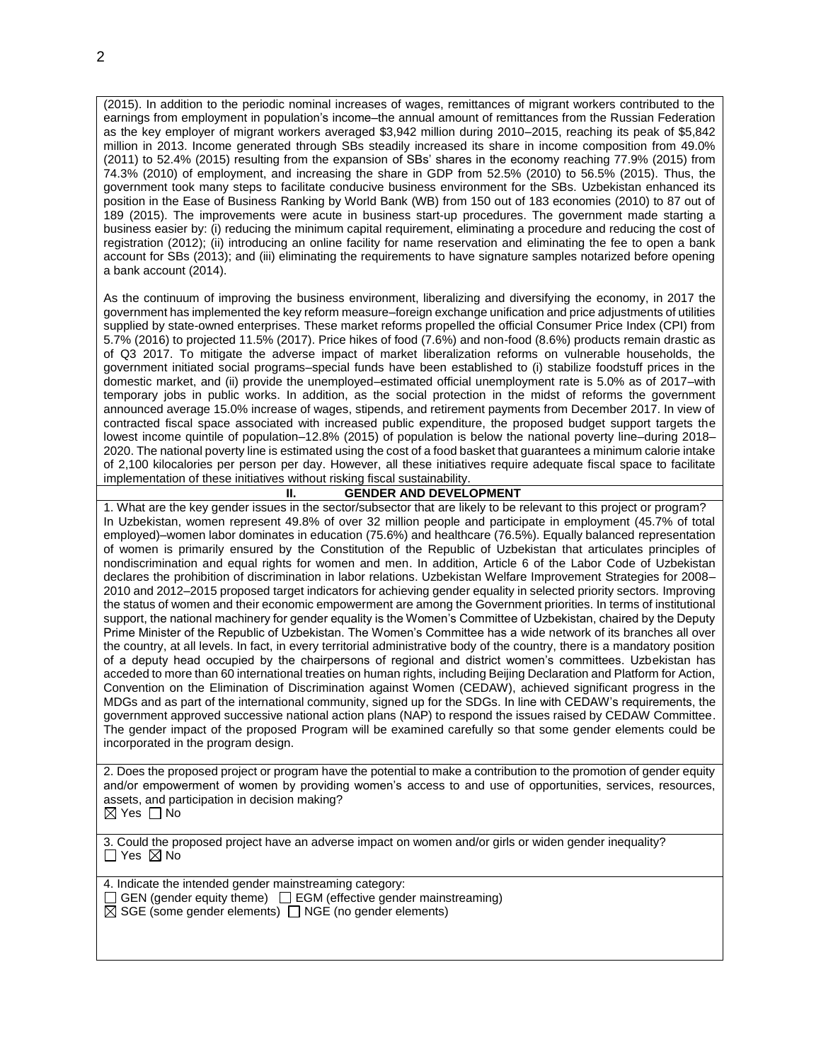(2015). In addition to the periodic nominal increases of wages, remittances of migrant workers contributed to the earnings from employment in population's income–the annual amount of remittances from the Russian Federation as the key employer of migrant workers averaged \$3,942 million during 2010–2015, reaching its peak of \$5,842 million in 2013. Income generated through SBs steadily increased its share in income composition from 49.0% (2011) to 52.4% (2015) resulting from the expansion of SBs' shares in the economy reaching 77.9% (2015) from 74.3% (2010) of employment, and increasing the share in GDP from 52.5% (2010) to 56.5% (2015). Thus, the government took many steps to facilitate conducive business environment for the SBs. Uzbekistan enhanced its position in the Ease of Business Ranking by World Bank (WB) from 150 out of 183 economies (2010) to 87 out of 189 (2015). The improvements were acute in business start-up procedures. The government made starting a business easier by: (i) reducing the minimum capital requirement, eliminating a procedure and reducing the cost of registration (2012); (ii) introducing an online facility for name reservation and eliminating the fee to open a bank account for SBs (2013); and (iii) eliminating the requirements to have signature samples notarized before opening a bank account (2014).

As the continuum of improving the business environment, liberalizing and diversifying the economy, in 2017 the government has implemented the key reform measure–foreign exchange unification and price adjustments of utilities supplied by state-owned enterprises. These market reforms propelled the official Consumer Price Index (CPI) from 5.7% (2016) to projected 11.5% (2017). Price hikes of food (7.6%) and non-food (8.6%) products remain drastic as of Q3 2017. To mitigate the adverse impact of market liberalization reforms on vulnerable households, the government initiated social programs–special funds have been established to (i) stabilize foodstuff prices in the domestic market, and (ii) provide the unemployed–estimated official unemployment rate is 5.0% as of 2017–with temporary jobs in public works. In addition, as the social protection in the midst of reforms the government announced average 15.0% increase of wages, stipends, and retirement payments from December 2017. In view of contracted fiscal space associated with increased public expenditure, the proposed budget support targets the lowest income quintile of population–12.8% (2015) of population is below the national poverty line–during 2018– 2020. The national poverty line is estimated using the cost of a food basket that guarantees a minimum calorie intake of 2,100 kilocalories per person per day. However, all these initiatives require adequate fiscal space to facilitate implementation of these initiatives without risking fiscal sustainability.

# **II. GENDER AND DEVELOPMENT**

1. What are the key gender issues in the sector/subsector that are likely to be relevant to this project or program? In Uzbekistan, women represent 49.8% of over 32 million people and participate in employment (45.7% of total employed)–women labor dominates in education (75.6%) and healthcare (76.5%). Equally balanced representation of women is primarily ensured by the Constitution of the Republic of Uzbekistan that articulates principles of nondiscrimination and equal rights for women and men. In addition, Article 6 of the Labor Code of Uzbekistan declares the prohibition of discrimination in labor relations. Uzbekistan Welfare Improvement Strategies for 2008– 2010 and 2012–2015 proposed target indicators for achieving gender equality in selected priority sectors. Improving the status of women and their economic empowerment are among the Government priorities. In terms of institutional support, the national machinery for gender equality is the Women's Committee of Uzbekistan, chaired by the Deputy Prime Minister of the Republic of Uzbekistan. The Women's Committee has a wide network of its branches all over the country, at all levels. In fact, in every territorial administrative body of the country, there is a mandatory position of a deputy head occupied by the chairpersons of regional and district women's committees. Uzbekistan has acceded to more than 60 international treaties on human rights, including Beijing Declaration and Platform for Action, Convention on the Elimination of Discrimination against Women (CEDAW), achieved significant progress in the MDGs and as part of the international community, signed up for the SDGs. In line with CEDAW's requirements, the government approved successive national action plans (NAP) to respond the issues raised by CEDAW Committee. The gender impact of the proposed Program will be examined carefully so that some gender elements could be incorporated in the program design.

2. Does the proposed project or program have the potential to make a contribution to the promotion of gender equity and/or empowerment of women by providing women's access to and use of opportunities, services, resources, assets, and participation in decision making?  $\boxtimes$  Yes  $\Box$  No

3. Could the proposed project have an adverse impact on women and/or girls or widen gender inequality?  $\Box$  Yes  $\boxtimes$  No

4. Indicate the intended gender mainstreaming category:  $\Box$  GEN (gender equity theme)  $\Box$  EGM (effective gender mainstreaming)  $\overline{\boxtimes}$  SGE (some gender elements)  $\overline{\Box}$  NGE (no gender elements)